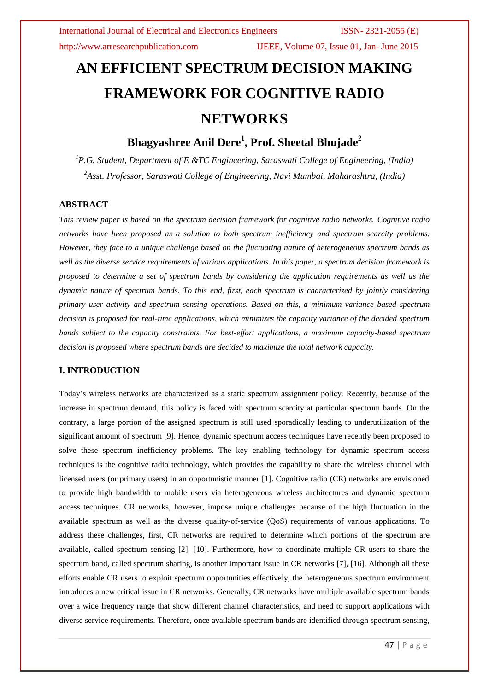# **AN EFFICIENT SPECTRUM DECISION MAKING FRAMEWORK FOR COGNITIVE RADIO NETWORKS**

## **Bhagyashree Anil Dere<sup>1</sup> , Prof. Sheetal Bhujade<sup>2</sup>**

*<sup>1</sup>P.G. Student, Department of E &TC Engineering, Saraswati College of Engineering, (India) <sup>2</sup>Asst. Professor, Saraswati College of Engineering, Navi Mumbai, Maharashtra, (India)*

#### **ABSTRACT**

*This review paper is based on the spectrum decision framework for cognitive radio networks. Cognitive radio networks have been proposed as a solution to both spectrum inefficiency and spectrum scarcity problems. However, they face to a unique challenge based on the fluctuating nature of heterogeneous spectrum bands as well as the diverse service requirements of various applications. In this paper, a spectrum decision framework is proposed to determine a set of spectrum bands by considering the application requirements as well as the dynamic nature of spectrum bands. To this end, first, each spectrum is characterized by jointly considering primary user activity and spectrum sensing operations. Based on this, a minimum variance based spectrum decision is proposed for real-time applications, which minimizes the capacity variance of the decided spectrum bands subject to the capacity constraints. For best-effort applications, a maximum capacity-based spectrum decision is proposed where spectrum bands are decided to maximize the total network capacity.*

#### **I. INTRODUCTION**

Today's wireless networks are characterized as a static spectrum assignment policy. Recently, because of the increase in spectrum demand, this policy is faced with spectrum scarcity at particular spectrum bands. On the contrary, a large portion of the assigned spectrum is still used sporadically leading to underutilization of the significant amount of spectrum [9]. Hence, dynamic spectrum access techniques have recently been proposed to solve these spectrum inefficiency problems. The key enabling technology for dynamic spectrum access techniques is the cognitive radio technology, which provides the capability to share the wireless channel with licensed users (or primary users) in an opportunistic manner [1]. Cognitive radio (CR) networks are envisioned to provide high bandwidth to mobile users via heterogeneous wireless architectures and dynamic spectrum access techniques. CR networks, however, impose unique challenges because of the high fluctuation in the available spectrum as well as the diverse quality-of-service (QoS) requirements of various applications. To address these challenges, first, CR networks are required to determine which portions of the spectrum are available, called spectrum sensing [2], [10]. Furthermore, how to coordinate multiple CR users to share the spectrum band, called spectrum sharing, is another important issue in CR networks [7], [16]. Although all these efforts enable CR users to exploit spectrum opportunities effectively, the heterogeneous spectrum environment introduces a new critical issue in CR networks. Generally, CR networks have multiple available spectrum bands over a wide frequency range that show different channel characteristics, and need to support applications with diverse service requirements. Therefore, once available spectrum bands are identified through spectrum sensing,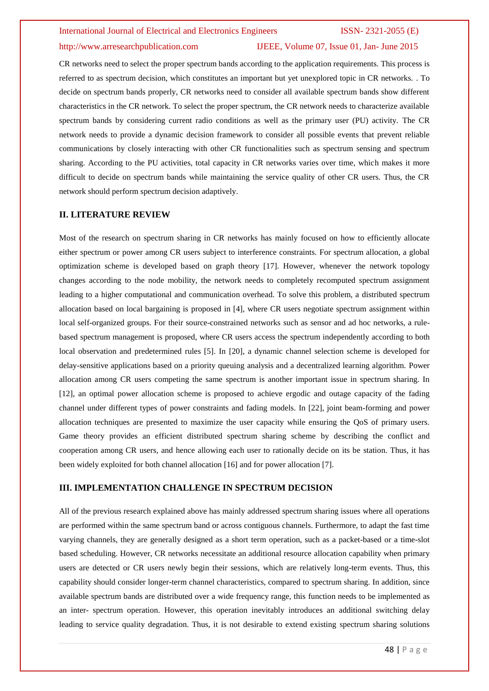#### http://www.arresearchpublication.com IJEEE, Volume 07, Issue 01, Jan- June 2015

CR networks need to select the proper spectrum bands according to the application requirements. This process is referred to as spectrum decision, which constitutes an important but yet unexplored topic in CR networks. . To decide on spectrum bands properly, CR networks need to consider all available spectrum bands show different characteristics in the CR network. To select the proper spectrum, the CR network needs to characterize available spectrum bands by considering current radio conditions as well as the primary user (PU) activity. The CR network needs to provide a dynamic decision framework to consider all possible events that prevent reliable communications by closely interacting with other CR functionalities such as spectrum sensing and spectrum sharing. According to the PU activities, total capacity in CR networks varies over time, which makes it more difficult to decide on spectrum bands while maintaining the service quality of other CR users. Thus, the CR network should perform spectrum decision adaptively.

#### **II. LITERATURE REVIEW**

Most of the research on spectrum sharing in CR networks has mainly focused on how to efficiently allocate either spectrum or power among CR users subject to interference constraints. For spectrum allocation, a global optimization scheme is developed based on graph theory [17]. However, whenever the network topology changes according to the node mobility, the network needs to completely recomputed spectrum assignment leading to a higher computational and communication overhead. To solve this problem, a distributed spectrum allocation based on local bargaining is proposed in [4], where CR users negotiate spectrum assignment within local self-organized groups. For their source-constrained networks such as sensor and ad hoc networks, a rulebased spectrum management is proposed, where CR users access the spectrum independently according to both local observation and predetermined rules [5]. In [20], a dynamic channel selection scheme is developed for delay-sensitive applications based on a priority queuing analysis and a decentralized learning algorithm. Power allocation among CR users competing the same spectrum is another important issue in spectrum sharing. In [12], an optimal power allocation scheme is proposed to achieve ergodic and outage capacity of the fading channel under different types of power constraints and fading models. In [22], joint beam-forming and power allocation techniques are presented to maximize the user capacity while ensuring the QoS of primary users. Game theory provides an efficient distributed spectrum sharing scheme by describing the conflict and cooperation among CR users, and hence allowing each user to rationally decide on its be station. Thus, it has been widely exploited for both channel allocation [16] and for power allocation [7].

#### **III. IMPLEMENTATION CHALLENGE IN SPECTRUM DECISION**

All of the previous research explained above has mainly addressed spectrum sharing issues where all operations are performed within the same spectrum band or across contiguous channels. Furthermore, to adapt the fast time varying channels, they are generally designed as a short term operation, such as a packet-based or a time-slot based scheduling. However, CR networks necessitate an additional resource allocation capability when primary users are detected or CR users newly begin their sessions, which are relatively long-term events. Thus, this capability should consider longer-term channel characteristics, compared to spectrum sharing. In addition, since available spectrum bands are distributed over a wide frequency range, this function needs to be implemented as an inter- spectrum operation. However, this operation inevitably introduces an additional switching delay leading to service quality degradation. Thus, it is not desirable to extend existing spectrum sharing solutions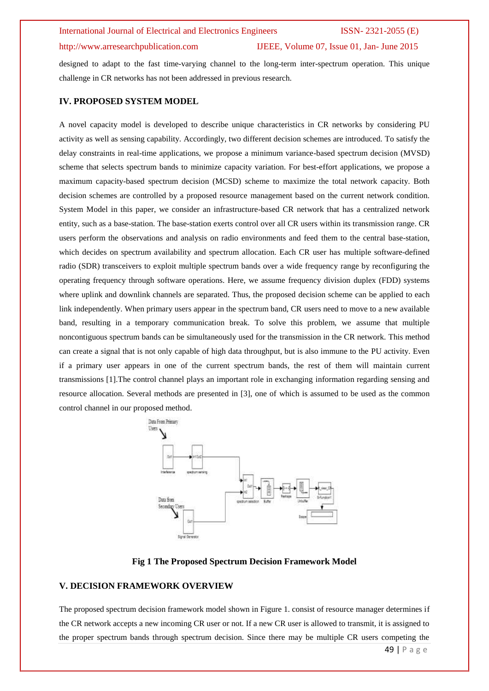### http://www.arresearchpublication.com IJEEE, Volume 07, Issue 01, Jan- June 2015

designed to adapt to the fast time-varying channel to the long-term inter-spectrum operation. This unique challenge in CR networks has not been addressed in previous research.

#### **IV. PROPOSED SYSTEM MODEL**

A novel capacity model is developed to describe unique characteristics in CR networks by considering PU activity as well as sensing capability. Accordingly, two different decision schemes are introduced. To satisfy the delay constraints in real-time applications, we propose a minimum variance-based spectrum decision (MVSD) scheme that selects spectrum bands to minimize capacity variation. For best-effort applications, we propose a maximum capacity-based spectrum decision (MCSD) scheme to maximize the total network capacity. Both decision schemes are controlled by a proposed resource management based on the current network condition. System Model in this paper, we consider an infrastructure-based CR network that has a centralized network entity, such as a base-station. The base-station exerts control over all CR users within its transmission range. CR users perform the observations and analysis on radio environments and feed them to the central base-station, which decides on spectrum availability and spectrum allocation. Each CR user has multiple software-defined radio (SDR) transceivers to exploit multiple spectrum bands over a wide frequency range by reconfiguring the operating frequency through software operations. Here, we assume frequency division duplex (FDD) systems where uplink and downlink channels are separated. Thus, the proposed decision scheme can be applied to each link independently. When primary users appear in the spectrum band, CR users need to move to a new available band, resulting in a temporary communication break. To solve this problem, we assume that multiple noncontiguous spectrum bands can be simultaneously used for the transmission in the CR network. This method can create a signal that is not only capable of high data throughput, but is also immune to the PU activity. Even if a primary user appears in one of the current spectrum bands, the rest of them will maintain current transmissions [1].The control channel plays an important role in exchanging information regarding sensing and resource allocation. Several methods are presented in [3], one of which is assumed to be used as the common control channel in our proposed method.



#### **Fig 1 The Proposed Spectrum Decision Framework Model**

#### **V. DECISION FRAMEWORK OVERVIEW**

The proposed spectrum decision framework model shown in Figure 1. consist of resource manager determines if the CR network accepts a new incoming CR user or not. If a new CR user is allowed to transmit, it is assigned to the proper spectrum bands through spectrum decision. Since there may be multiple CR users competing the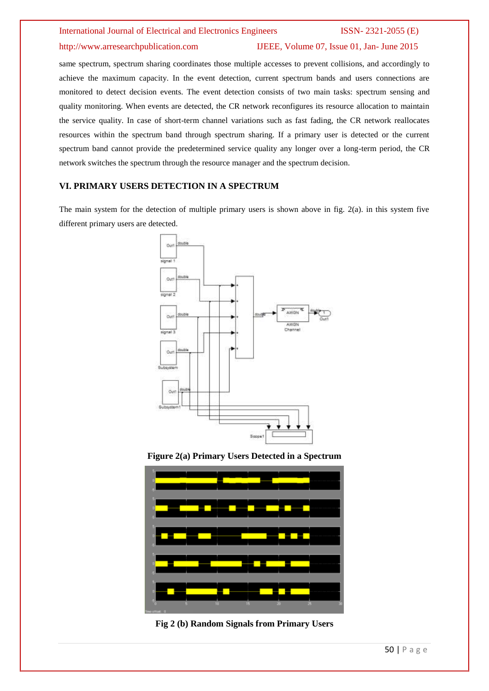#### http://www.arresearchpublication.com IJEEE, Volume 07, Issue 01, Jan- June 2015

same spectrum, spectrum sharing coordinates those multiple accesses to prevent collisions, and accordingly to achieve the maximum capacity. In the event detection, current spectrum bands and users connections are monitored to detect decision events. The event detection consists of two main tasks: spectrum sensing and quality monitoring. When events are detected, the CR network reconfigures its resource allocation to maintain the service quality. In case of short-term channel variations such as fast fading, the CR network reallocates resources within the spectrum band through spectrum sharing. If a primary user is detected or the current spectrum band cannot provide the predetermined service quality any longer over a long-term period, the CR network switches the spectrum through the resource manager and the spectrum decision.

### **VI. PRIMARY USERS DETECTION IN A SPECTRUM**

The main system for the detection of multiple primary users is shown above in fig. 2(a). in this system five different primary users are detected.



**Figure 2(a) Primary Users Detected in a Spectrum**



**Fig 2 (b) Random Signals from Primary Users**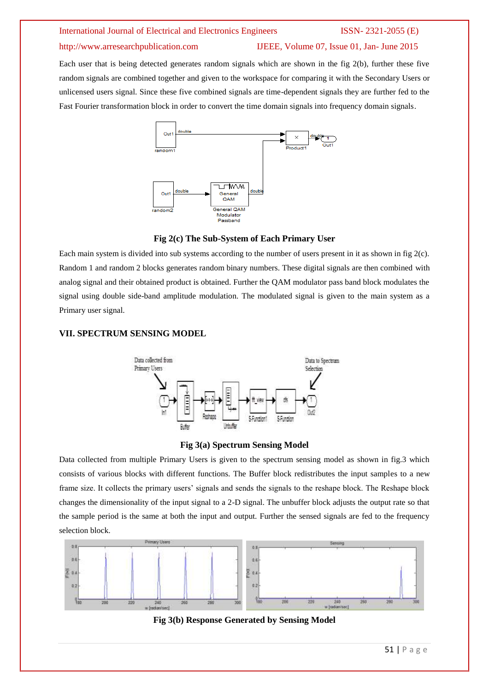### http://www.arresearchpublication.com IJEEE, Volume 07, Issue 01, Jan- June 2015

Each user that is being detected generates random signals which are shown in the fig 2(b), further these five random signals are combined together and given to the workspace for comparing it with the Secondary Users or unlicensed users signal. Since these five combined signals are time-dependent signals they are further fed to the Fast Fourier transformation block in order to convert the time domain signals into frequency domain signals.



#### **Fig 2(c) The Sub-System of Each Primary User**

Each main system is divided into sub systems according to the number of users present in it as shown in fig 2(c). Random 1 and random 2 blocks generates random binary numbers. These digital signals are then combined with analog signal and their obtained product is obtained. Further the QAM modulator pass band block modulates the signal using double side-band amplitude modulation. The modulated signal is given to the main system as a Primary user signal.

#### **VII. SPECTRUM SENSING MODEL**



#### **Fig 3(a) Spectrum Sensing Model**

Data collected from multiple Primary Users is given to the spectrum sensing model as shown in fig.3 which consists of various blocks with different functions. The Buffer block redistributes the input samples to a new frame size. It collects the primary users' signals and sends the signals to the reshape block. The Reshape block changes the dimensionality of the input signal to a 2-D signal. The unbuffer block adjusts the output rate so that the sample period is the same at both the input and output. Further the sensed signals are fed to the frequency selection block.



**Fig 3(b) Response Generated by Sensing Model**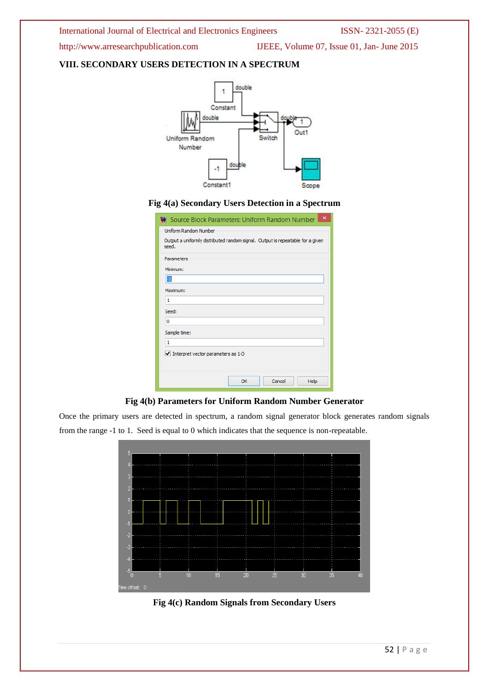http://www.arresearchpublication.com IJEEE, Volume 07, Issue 01, Jan- June 2015

### **VIII. SECONDARY USERS DETECTION IN A SPECTRUM**



### **Fig 4(a) Secondary Users Detection in a Spectrum**

| ×<br>Source Block Parameters: Uniform Random Number                                     |
|-----------------------------------------------------------------------------------------|
| <b>Uniform Random Number</b>                                                            |
| Output a uniformly distributed random signal. Output is repeatable for a given<br>seed. |
| Parameters                                                                              |
| Minimum:                                                                                |
| $-1$                                                                                    |
| Maximum:                                                                                |
| 1                                                                                       |
| Seed:                                                                                   |
| 0                                                                                       |
| Sample time:                                                                            |
| $\mathbf{1}$                                                                            |
| $\blacktriangleright$ Interpret vector parameters as 1-D                                |
|                                                                                         |
| Cancel<br>Help<br>OK                                                                    |

### **Fig 4(b) Parameters for Uniform Random Number Generator**

Once the primary users are detected in spectrum, a random signal generator block generates random signals from the range -1 to 1. Seed is equal to 0 which indicates that the sequence is non-repeatable.



**Fig 4(c) Random Signals from Secondary Users**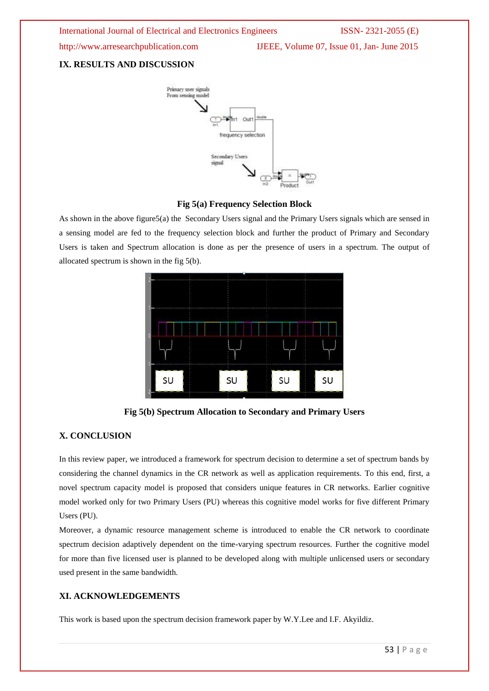http://www.arresearchpublication.com IJEEE, Volume 07, Issue 01, Jan- June 2015

### **IX. RESULTS AND DISCUSSION**



#### **Fig 5(a) Frequency Selection Block**

As shown in the above figure5(a) the Secondary Users signal and the Primary Users signals which are sensed in a sensing model are fed to the frequency selection block and further the product of Primary and Secondary Users is taken and Spectrum allocation is done as per the presence of users in a spectrum. The output of allocated spectrum is shown in the fig 5(b).



**Fig 5(b) Spectrum Allocation to Secondary and Primary Users**

### **X. CONCLUSION**

In this review paper, we introduced a framework for spectrum decision to determine a set of spectrum bands by considering the channel dynamics in the CR network as well as application requirements. To this end, first, a novel spectrum capacity model is proposed that considers unique features in CR networks. Earlier cognitive model worked only for two Primary Users (PU) whereas this cognitive model works for five different Primary Users (PU).

Moreover, a dynamic resource management scheme is introduced to enable the CR network to coordinate spectrum decision adaptively dependent on the time-varying spectrum resources. Further the cognitive model for more than five licensed user is planned to be developed along with multiple unlicensed users or secondary used present in the same bandwidth.

### **XI. ACKNOWLEDGEMENTS**

This work is based upon the spectrum decision framework paper by W.Y.Lee and I.F. Akyildiz.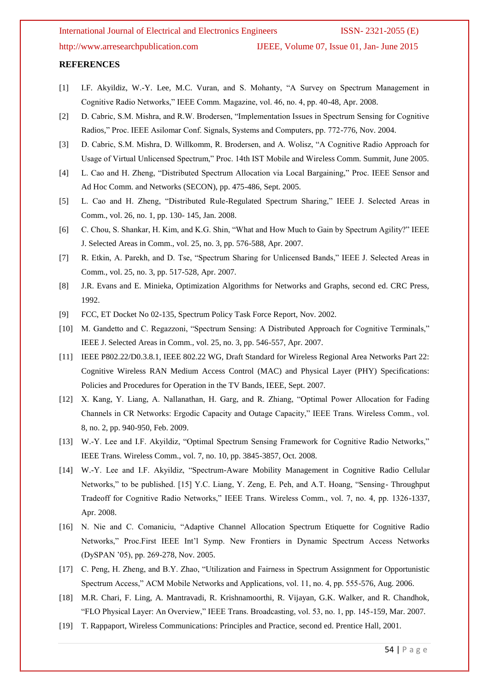http://www.arresearchpublication.com IJEEE, Volume 07, Issue 01, Jan- June 2015

#### **REFERENCES**

- [1] I.F. Akyildiz, W.-Y. Lee, M.C. Vuran, and S. Mohanty, "A Survey on Spectrum Management in Cognitive Radio Networks," IEEE Comm. Magazine, vol. 46, no. 4, pp. 40-48, Apr. 2008.
- [2] D. Cabric, S.M. Mishra, and R.W. Brodersen, "Implementation Issues in Spectrum Sensing for Cognitive Radios," Proc. IEEE Asilomar Conf. Signals, Systems and Computers, pp. 772-776, Nov. 2004.
- [3] D. Cabric, S.M. Mishra, D. Willkomm, R. Brodersen, and A. Wolisz, "A Cognitive Radio Approach for Usage of Virtual Unlicensed Spectrum," Proc. 14th IST Mobile and Wireless Comm. Summit, June 2005.
- [4] L. Cao and H. Zheng, "Distributed Spectrum Allocation via Local Bargaining," Proc. IEEE Sensor and Ad Hoc Comm. and Networks (SECON), pp. 475-486, Sept. 2005.
- [5] L. Cao and H. Zheng, "Distributed Rule-Regulated Spectrum Sharing," IEEE J. Selected Areas in Comm., vol. 26, no. 1, pp. 130- 145, Jan. 2008.
- [6] C. Chou, S. Shankar, H. Kim, and K.G. Shin, "What and How Much to Gain by Spectrum Agility?" IEEE J. Selected Areas in Comm., vol. 25, no. 3, pp. 576-588, Apr. 2007.
- [7] R. Etkin, A. Parekh, and D. Tse, "Spectrum Sharing for Unlicensed Bands," IEEE J. Selected Areas in Comm., vol. 25, no. 3, pp. 517-528, Apr. 2007.
- [8] J.R. Evans and E. Minieka, Optimization Algorithms for Networks and Graphs, second ed. CRC Press, 1992.
- [9] FCC, ET Docket No 02-135, Spectrum Policy Task Force Report, Nov. 2002.
- [10] M. Gandetto and C. Regazzoni, "Spectrum Sensing: A Distributed Approach for Cognitive Terminals," IEEE J. Selected Areas in Comm., vol. 25, no. 3, pp. 546-557, Apr. 2007.
- [11] IEEE P802.22/D0.3.8.1, IEEE 802.22 WG, Draft Standard for Wireless Regional Area Networks Part 22: Cognitive Wireless RAN Medium Access Control (MAC) and Physical Layer (PHY) Specifications: Policies and Procedures for Operation in the TV Bands, IEEE, Sept. 2007.
- [12] X. Kang, Y. Liang, A. Nallanathan, H. Garg, and R. Zhiang, "Optimal Power Allocation for Fading Channels in CR Networks: Ergodic Capacity and Outage Capacity," IEEE Trans. Wireless Comm., vol. 8, no. 2, pp. 940-950, Feb. 2009.
- [13] W.-Y. Lee and I.F. Akyildiz, "Optimal Spectrum Sensing Framework for Cognitive Radio Networks," IEEE Trans. Wireless Comm., vol. 7, no. 10, pp. 3845-3857, Oct. 2008.
- [14] W.-Y. Lee and I.F. Akyildiz, "Spectrum-Aware Mobility Management in Cognitive Radio Cellular Networks," to be published. [15] Y.C. Liang, Y. Zeng, E. Peh, and A.T. Hoang, "Sensing- Throughput Tradeoff for Cognitive Radio Networks," IEEE Trans. Wireless Comm., vol. 7, no. 4, pp. 1326-1337, Apr. 2008.
- [16] N. Nie and C. Comaniciu, "Adaptive Channel Allocation Spectrum Etiquette for Cognitive Radio Networks," Proc.First IEEE Int'l Symp. New Frontiers in Dynamic Spectrum Access Networks (DySPAN '05), pp. 269-278, Nov. 2005.
- [17] C. Peng, H. Zheng, and B.Y. Zhao, "Utilization and Fairness in Spectrum Assignment for Opportunistic Spectrum Access," ACM Mobile Networks and Applications, vol. 11, no. 4, pp. 555-576, Aug. 2006.
- [18] M.R. Chari, F. Ling, A. Mantravadi, R. Krishnamoorthi, R. Vijayan, G.K. Walker, and R. Chandhok, "FLO Physical Layer: An Overview," IEEE Trans. Broadcasting, vol. 53, no. 1, pp. 145-159, Mar. 2007.
- [19] T. Rappaport, Wireless Communications: Principles and Practice, second ed. Prentice Hall, 2001.